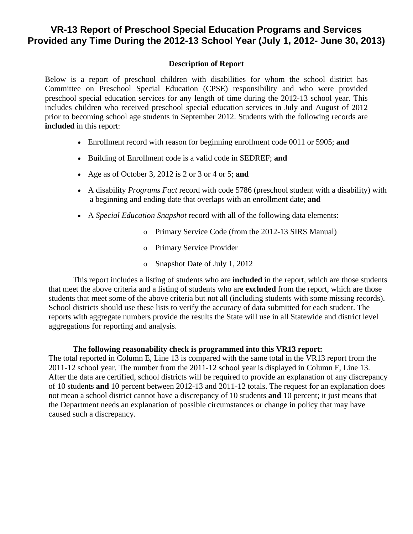## **VR-13 Report of Preschool Special Education Programs and Services Provided any Time During the 2012-13 School Year (July 1, 2012- June 30, 2013)**

## **Description of Report**

Below is a report of preschool children with disabilities for whom the school district has Committee on Preschool Special Education (CPSE) responsibility and who were provided preschool special education services for any length of time during the 2012-13 school year. This includes children who received preschool special education services in July and August of 2012 prior to becoming school age students in September 2012. Students with the following records are **included** in this report:

- Enrollment record with reason for beginning enrollment code 0011 or 5905; **and**
- Building of Enrollment code is a valid code in SEDREF; **and**
- Age as of October 3, 2012 is 2 or 3 or 4 or 5; **and**
- A disability *Programs Fact* record with code 5786 (preschool student with a disability) with a beginning and ending date that overlaps with an enrollment date; **and**
- A *Special Education Snapshot* record with all of the following data elements:
	- o Primary Service Code (from the 2012-13 SIRS Manual)
	- o Primary Service Provider
	- o Snapshot Date of July 1, 2012

This report includes a listing of students who are **included** in the report, which are those students that meet the above criteria and a listing of students who are **excluded** from the report, which are those students that meet some of the above criteria but not all (including students with some missing records). School districts should use these lists to verify the accuracy of data submitted for each student. The reports with aggregate numbers provide the results the State will use in all Statewide and district level aggregations for reporting and analysis.

## **The following reasonability check is programmed into this VR13 report:**

The total reported in Column E, Line 13 is compared with the same total in the VR13 report from the 2011-12 school year. The number from the 2011-12 school year is displayed in Column F, Line 13. After the data are certified, school districts will be required to provide an explanation of any discrepancy of 10 students **and** 10 percent between 2012-13 and 2011-12 totals. The request for an explanation does not mean a school district cannot have a discrepancy of 10 students **and** 10 percent; it just means that the Department needs an explanation of possible circumstances or change in policy that may have caused such a discrepancy.